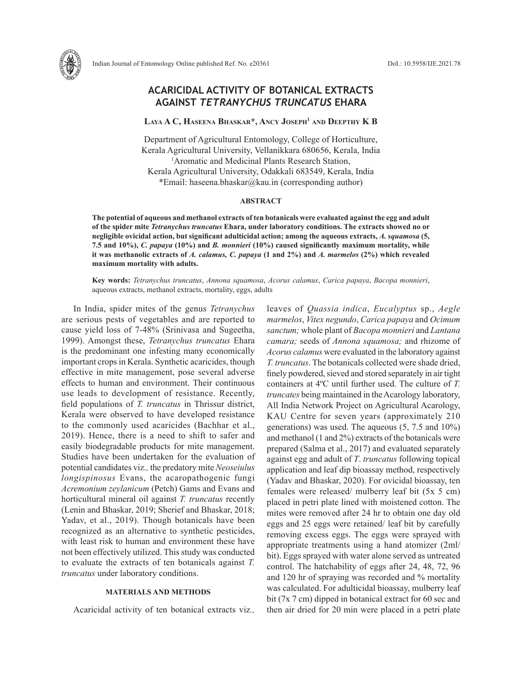

# **Laya A C, Haseena Bhaskar\*, Ancy Joseph1 and Deepthy K B**

Department of Agricultural Entomology, College of Horticulture, Kerala Agricultural University, Vellanikkara 680656, Kerala, India <sup>1</sup> Aromatic and Medicinal Plants Research Station, Kerala Agricultural University, Odakkali 683549, Kerala, India \*Email: haseena.bhaskar@kau.in (corresponding author)

### **ABSTRACT**

**The potential of aqueous and methanol extracts of ten botanicals were evaluated against the egg and adult of the spider mite** *Tetranychus truncatus* **Ehara, under laboratory conditions. The extracts showed no or negligible ovicidal action, but significant adulticidal action; among the aqueous extracts,** *A. squamosa* **(5, 7.5 and 10%),** *C. papaya* **(10%) and** *B. monnieri* **(10%) caused significantly maximum mortality, while it was methanolic extracts of** *A. calamus, C. papaya* **(1 and 2%) and** *A. marmelos* **(2%) which revealed maximum mortality with adults.** 

**Key words:** *Tetranychus truncatus*, *Annona squamosa*, *Acorus calamus*, *Carica papaya*, *Bacopa monnieri*, aqueous extracts, methanol extracts, mortality, eggs, adults

In India, spider mites of the genus *Tetranychus* are serious pests of vegetables and are reported to cause yield loss of 7-48% (Srinivasa and Sugeetha, 1999). Amongst these, *Tetranychus truncatus* Ehara is the predominant one infesting many economically important crops in Kerala. Synthetic acaricides, though effective in mite management, pose several adverse effects to human and environment. Their continuous use leads to development of resistance. Recently, field populations of *T. truncatus* in Thrissur district, Kerala were observed to have developed resistance to the commonly used acaricides (Bachhar et al., 2019). Hence, there is a need to shift to safer and easily biodegradable products for mite management. Studies have been undertaken for the evaluation of potential candidates viz*.,* the predatory mite *Neoseiulus longispinosus* Evans, the acaropathogenic fungi *Acremonium zeylanicum* (Petch) Gams and Evans and horticultural mineral oil against *T. truncatus* recently (Lenin and Bhaskar, 2019; Sherief and Bhaskar, 2018; Yadav, et al., 2019). Though botanicals have been recognized as an alternative to synthetic pesticides, with least risk to human and environment these have not been effectively utilized. This study was conducted to evaluate the extracts of ten botanicals against *T. truncatus* under laboratory conditions.

# **MATERIALS AND METHODS**

Acaricidal activity of ten botanical extracts viz*.,* 

leaves of *Quassia indica*, *Eucalyptus* sp., *Aegle marmelos*, *Vitex negundo*, *Carica papaya* and *Ocimum sanctum;* whole plant of *Bacopa monnieri* and *Lantana camara;* seeds of *Annona squamosa;* and rhizome of *Acorus calamus* were evaluated in the laboratory against *T. truncatus*. The botanicals collected were shade dried, finely powdered, sieved and stored separately in air tight containers at 4ºC until further used. The culture of *T. truncates* being maintained in the Acarology laboratory, All India Network Project on Agricultural Acarology, KAU Centre for seven years (approximately 210 generations) was used. The aqueous (5, 7.5 and 10%) and methanol (1 and 2%) extracts of the botanicals were prepared (Salma et al., 2017) and evaluated separately against egg and adult of *T*. *truncatus* following topical application and leaf dip bioassay method, respectively (Yadav and Bhaskar, 2020). For ovicidal bioassay, ten females were released/ mulberry leaf bit (5x 5 cm) placed in petri plate lined with moistened cotton. The mites were removed after 24 hr to obtain one day old eggs and 25 eggs were retained/ leaf bit by carefully removing excess eggs. The eggs were sprayed with appropriate treatments using a hand atomizer (2ml/ bit). Eggs sprayed with water alone served as untreated control. The hatchability of eggs after 24, 48, 72, 96 and 120 hr of spraying was recorded and % mortality was calculated. For adulticidal bioassay, mulberry leaf bit (7x 7 cm) dipped in botanical extract for 60 sec and then air dried for 20 min were placed in a petri plate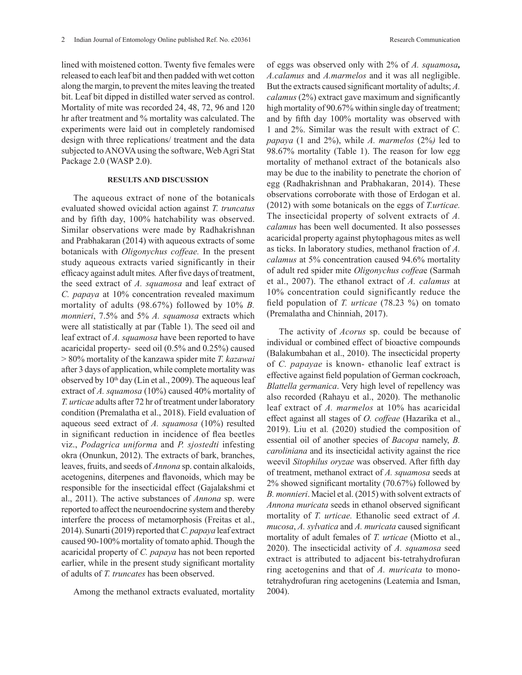lined with moistened cotton. Twenty five females were released to each leaf bit and then padded with wet cotton along the margin, to prevent the mites leaving the treated bit. Leaf bit dipped in distilled water served as control. Mortality of mite was recorded 24, 48, 72, 96 and 120 hr after treatment and % mortality was calculated. The experiments were laid out in completely randomised design with three replications/ treatment and the data subjected to ANOVA using the software, Web Agri Stat Package 2.0 (WASP 2.0).

#### **RESULTS AND DISCUSSION**

The aqueous extract of none of the botanicals evaluated showed ovicidal action against *T. truncatus*  and by fifth day, 100% hatchability was observed. Similar observations were made by Radhakrishnan and Prabhakaran (2014) with aqueous extracts of some botanicals with *Oligonychus coffeae.* In the present study aqueous extracts varied significantly in their efficacy against adult mites*.* After five days of treatment, the seed extract of *A. squamosa* and leaf extract of *C. papaya* at 10% concentration revealed maximum mortality of adults (98.67%) followed by 10% *B. monnieri*, 7.5% and 5% *A. squamosa* extracts which were all statistically at par (Table 1). The seed oil and leaf extract of *A. squamosa* have been reported to have acaricidal property- seed oil (0.5% and 0.25%) caused > 80% mortality of the kanzawa spider mite *T. kazawai* after 3 days of application, while complete mortality was observed by  $10<sup>th</sup>$  day (Lin et al., 2009). The aqueous leaf extract of *A. squamosa* (10%) caused 40% mortality of *T. urticae* adults after 72 hr of treatment under laboratory condition (Premalatha et al., 2018). Field evaluation of aqueous seed extract of *A. squamosa* (10%) resulted in significant reduction in incidence of flea beetles viz., *Podagrica uniforma* and *P. sjostedti* infesting okra (Onunkun, 2012). The extracts of bark, branches, leaves, fruits, and seeds of *Annona* sp. contain alkaloids, acetogenins, diterpenes and flavonoids, which may be responsible for the insecticidal effect (Gajalakshmi et al., 2011). The active substances of *Annona* sp. were reported to affect the neuroendocrine system and thereby interfere the process of metamorphosis (Freitas et al., 2014). Sunarti (2019) reported that *C. papaya* leaf extract caused 90-100% mortality of tomato aphid. Though the acaricidal property of *C. papaya* has not been reported earlier, while in the present study significant mortality of adults of *T. truncates* has been observed.

Among the methanol extracts evaluated, mortality

of eggs was observed only with 2% of *A. squamosa, A.calamus* and *A.marmelos* and it was all negligible. But the extracts caused significant mortality of adults; *A. calamus* (2%) extract gave maximum and significantly high mortality of 90.67% within single day of treatment; and by fifth day 100% mortality was observed with 1 and 2%. Similar was the result with extract of *C. papaya* (1 and 2%), while *A. marmelos* (2%*)* led to 98.67% mortality (Table 1). The reason for low egg mortality of methanol extract of the botanicals also may be due to the inability to penetrate the chorion of egg (Radhakrishnan and Prabhakaran, 2014). These observations corroborate with those of Erdogan et al. (2012) with some botanicals on the eggs of *T.urticae.*  The insecticidal property of solvent extracts of *A. calamus* has been well documented. It also possesses acaricidal property against phytophagous mites as well as ticks. In laboratory studies, methanol fraction of *A. calamus* at 5% concentration caused 94.6% mortality of adult red spider mite *Oligonychus coffea*e (Sarmah et al., 2007). The ethanol extract of *A. calamus* at 10% concentration could significantly reduce the field population of *T. urticae* (78.23 %) on tomato (Premalatha and Chinniah, 2017).

The activity of *Acorus* sp. could be because of individual or combined effect of bioactive compounds (Balakumbahan et al., 2010). The insecticidal property of *C. papayae* is known- ethanolic leaf extract is effective against field population of German cockroach, *Blattella germanica*. Very high level of repellency was also recorded (Rahayu et al., 2020). The methanolic leaf extract of *A. marmelos* at 10% has acaricidal effect against all stages of *O. coffeae* (Hazarika et al., 2019). Liu et al*.* (2020) studied the composition of essential oil of another species of *Bacopa* namely, *B. caroliniana* and its insecticidal activity against the rice weevil *Sitophilus oryzae* was observed. After fifth day of treatment, methanol extract of *A. squamosa* seeds at 2% showed significant mortality (70.67%) followed by *B. monnieri*. Maciel et al. (2015) with solvent extracts of *Annona muricata* seeds in ethanol observed significant mortality of *T. urticae*. Ethanolic seed extract of *A*. *mucosa*, *A. sylvatica* and *A. muricata* caused significant mortality of adult females of *T. urticae* (Miotto et al., 2020). The insecticidal activity of *A. squamosa* seed extract is attributed to adjacent bis-tetrahydrofuran ring acetogenins and that of *A. muricata* to monotetrahydrofuran ring acetogenins (Leatemia and Isman, 2004).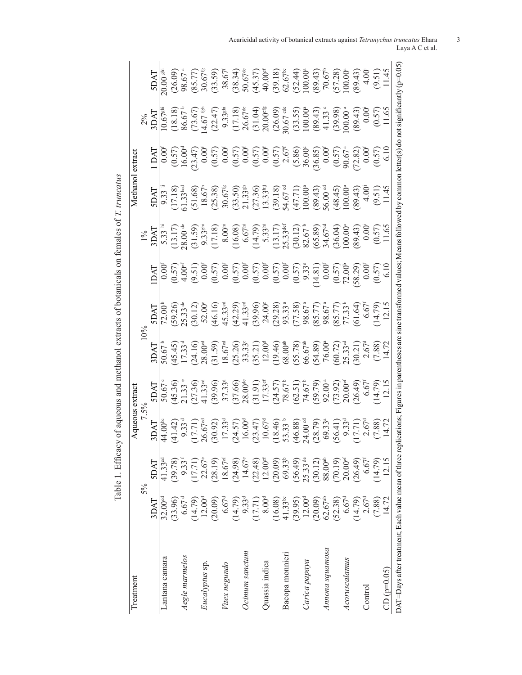| Treatment                                                |                    |                                  |                                                                                                                                                                                                                             |                                                                                                                                                                                                                                                                                                                                                           |                                                                                                                                                                                                                                                                                                     |                                                                                                                                                                                                                             |                                                                                                                                                                                                                                                                                                                                                                                             | Methano                                                                                                                       |                                                                                                                                                                                                                                                                                                                                                                                      |                                                                                                                                                                                                                                                                                                                                                                |
|----------------------------------------------------------|--------------------|----------------------------------|-----------------------------------------------------------------------------------------------------------------------------------------------------------------------------------------------------------------------------|-----------------------------------------------------------------------------------------------------------------------------------------------------------------------------------------------------------------------------------------------------------------------------------------------------------------------------------------------------------|-----------------------------------------------------------------------------------------------------------------------------------------------------------------------------------------------------------------------------------------------------------------------------------------------------|-----------------------------------------------------------------------------------------------------------------------------------------------------------------------------------------------------------------------------|---------------------------------------------------------------------------------------------------------------------------------------------------------------------------------------------------------------------------------------------------------------------------------------------------------------------------------------------------------------------------------------------|-------------------------------------------------------------------------------------------------------------------------------|--------------------------------------------------------------------------------------------------------------------------------------------------------------------------------------------------------------------------------------------------------------------------------------------------------------------------------------------------------------------------------------|----------------------------------------------------------------------------------------------------------------------------------------------------------------------------------------------------------------------------------------------------------------------------------------------------------------------------------------------------------------|
|                                                          |                    | 5%                               |                                                                                                                                                                                                                             |                                                                                                                                                                                                                                                                                                                                                           |                                                                                                                                                                                                                                                                                                     |                                                                                                                                                                                                                             |                                                                                                                                                                                                                                                                                                                                                                                             |                                                                                                                               |                                                                                                                                                                                                                                                                                                                                                                                      |                                                                                                                                                                                                                                                                                                                                                                |
|                                                          | 3DAT               | <b>TACS</b>                      | 3DAI                                                                                                                                                                                                                        | INC                                                                                                                                                                                                                                                                                                                                                       | 3DAT                                                                                                                                                                                                                                                                                                | INC                                                                                                                                                                                                                         | $\begin{array}{l} \n 1\frac{9}{5} \\  1\frac{3}{5} \\  3\frac{1}{3} \\  5\frac{1}{3} \\  6\frac{1}{3} \\  7\frac{1}{3} \\  8\frac{1}{3} \\  9\frac{1}{3} \\  1\frac{1}{3} \\  1\frac{1}{3} \\  9\frac{1}{3} \\  1\frac{1}{3} \\  1\frac{1}{3} \\  1\frac{1}{3} \\  1\frac{1}{3} \\  1\frac{1}{3} \\  1\frac{1}{3} \\  1\frac{1}{3} \\  1\frac{1}{3} \\  1\frac{1}{3} \\  1\frac{1}{3} \\  $ |                                                                                                                               | $\begin{array}{l} \n 2\% \quad 2\% \quad 2\% \quad 2\% \quad 2\% \quad 2\% \quad 2\% \quad 2\% \quad 2\% \quad 2\% \quad 2\% \quad 2\% \quad 2\% \quad 2\% \quad 2\% \quad 2\% \quad 2\% \quad 2\% \quad 2\% \quad 2\% \quad 2\% \quad 2\% \quad 2\% \quad 2\% \quad 2\% \quad 2\% \quad 2\% \quad 2\% \quad 2\% \quad 2\% \quad 2\% \quad 2\% \quad 2\% \quad 2\% \quad 2\% \quad $ | <b>LAGS</b>                                                                                                                                                                                                                                                                                                                                                    |
| Lantana camara                                           | $32.00^\text{cd}$  | $41.33$ ad                       |                                                                                                                                                                                                                             |                                                                                                                                                                                                                                                                                                                                                           |                                                                                                                                                                                                                                                                                                     |                                                                                                                                                                                                                             |                                                                                                                                                                                                                                                                                                                                                                                             |                                                                                                                               |                                                                                                                                                                                                                                                                                                                                                                                      |                                                                                                                                                                                                                                                                                                                                                                |
|                                                          | (33.96)            | (39.78)                          |                                                                                                                                                                                                                             |                                                                                                                                                                                                                                                                                                                                                           |                                                                                                                                                                                                                                                                                                     |                                                                                                                                                                                                                             |                                                                                                                                                                                                                                                                                                                                                                                             |                                                                                                                               |                                                                                                                                                                                                                                                                                                                                                                                      |                                                                                                                                                                                                                                                                                                                                                                |
| degle marmelos                                           | 6.67 <sup>d</sup>  | $9.33^{\rm f}$                   |                                                                                                                                                                                                                             |                                                                                                                                                                                                                                                                                                                                                           |                                                                                                                                                                                                                                                                                                     |                                                                                                                                                                                                                             |                                                                                                                                                                                                                                                                                                                                                                                             |                                                                                                                               |                                                                                                                                                                                                                                                                                                                                                                                      |                                                                                                                                                                                                                                                                                                                                                                |
|                                                          | (14.79)            | (17.71)                          |                                                                                                                                                                                                                             |                                                                                                                                                                                                                                                                                                                                                           |                                                                                                                                                                                                                                                                                                     |                                                                                                                                                                                                                             |                                                                                                                                                                                                                                                                                                                                                                                             |                                                                                                                               |                                                                                                                                                                                                                                                                                                                                                                                      |                                                                                                                                                                                                                                                                                                                                                                |
| Eucalyptus sp.                                           | 12.00 <sup>d</sup> | $22.67^{\circ}$                  |                                                                                                                                                                                                                             |                                                                                                                                                                                                                                                                                                                                                           |                                                                                                                                                                                                                                                                                                     |                                                                                                                                                                                                                             |                                                                                                                                                                                                                                                                                                                                                                                             |                                                                                                                               |                                                                                                                                                                                                                                                                                                                                                                                      |                                                                                                                                                                                                                                                                                                                                                                |
|                                                          | (20.09)            | (28.19)                          | $(41.42)$ $(50.67)$ $(50.67)$ $(50.67)$ $(50.67)$ $(50.67)$ $(50.67)$ $(50.67)$ $(50.67)$ $(50.67)$ $(50.67)$ $(50.67)$ $(50.67)$ $(50.67)$ $(50.67)$ $(50.67)$ $(50.67)$ $(50.67)$ $(50.67)$ $(50.67)$ $(50.67)$ $(50.67)$ | $\begin{array}{l} 50.67^{\circ} \\ 50.67^{\circ} \\ 21.3^{\circ} \\ 21.3^{\circ} \\ 30.60 \\ 60.60 \\ 71.3^{\circ} \\ 72.13^{\circ} \\ 81.3^{\circ} \\ 90.60 \\ 90.60^{\circ} \\ 90.60^{\circ} \\ 90.60^{\circ} \\ 90.60^{\circ} \\ 91.3^{\circ} \\ 91.3^{\circ} \\ 91.3^{\circ} \\ 91.3^{\circ} \\ 91.3^{\circ} \\ 92.4^{\circ} \\ 93.60^{\circ} \\ 94.$ | $\begin{array}{l} 50.67 \\ 50.41 \\ 71.33 \\ 82.49 \\ 17.33 \\ 18.67 \\ 19.68 \\ 10.39 \\ 11.41 \\ 12.59 \\ 13.67 \\ 14.72 \\ 15.89 \\ 16.80 \\ 17.72 \\ 18.67 \\ 19.60 \\ 19.60 \\ 10.40 \\ 10.60 \\ 11.40 \\ 12.40 \\ 13.41 \\ 14.72 \\ 14.71 \\ 14.72 \\ 14.73 \\ 14.73 \\ 15.8 \\ 16.8 \\ 17.7$ | $[72.00]$ $[72.00]$ $[72.00]$ $[72.00]$ $[72.00]$ $[72.00]$ $[72.00]$ $[72.00]$ $[72.00]$ $[72.00]$ $[72.00]$ $[72.00]$ $[72.00]$ $[72.00]$ $[72.00]$ $[72.00]$ $[72.00]$ $[72.00]$ $[72.00]$ $[72.00]$ $[72.00]$ $[72.00]$ |                                                                                                                                                                                                                                                                                                                                                                                             |                                                                                                                               |                                                                                                                                                                                                                                                                                                                                                                                      | $\begin{array}{l} \mathbb{Z}[3000] \mathbb{Z}[3000] \mathbb{Z}[3000] \mathbb{Z}[3000] \mathbb{Z}[3000] \mathbb{Z}[3000] \mathbb{Z}[3000] \mathbb{Z}[3000] \mathbb{Z}[3000] \mathbb{Z}[3000] \mathbb{Z}[3000] \mathbb{Z}[3000] \mathbb{Z}[3000] \mathbb{Z}[3000] \mathbb{Z}[3000] \mathbb{Z}[3000] \mathbb{Z}[3000] \mathbb{Z}[3000] \mathbb{Z}[3000] \mathbb{$ |
| Vitex negundo                                            | 6.67 <sup>d</sup>  | $18.67$ ef                       |                                                                                                                                                                                                                             |                                                                                                                                                                                                                                                                                                                                                           |                                                                                                                                                                                                                                                                                                     |                                                                                                                                                                                                                             |                                                                                                                                                                                                                                                                                                                                                                                             |                                                                                                                               |                                                                                                                                                                                                                                                                                                                                                                                      |                                                                                                                                                                                                                                                                                                                                                                |
|                                                          | (14.79)            | (24.98)                          |                                                                                                                                                                                                                             |                                                                                                                                                                                                                                                                                                                                                           |                                                                                                                                                                                                                                                                                                     |                                                                                                                                                                                                                             |                                                                                                                                                                                                                                                                                                                                                                                             |                                                                                                                               |                                                                                                                                                                                                                                                                                                                                                                                      |                                                                                                                                                                                                                                                                                                                                                                |
| Ocimum sanctum                                           | 9.33 <sup>d</sup>  | $14.67^{\circ}$                  |                                                                                                                                                                                                                             |                                                                                                                                                                                                                                                                                                                                                           |                                                                                                                                                                                                                                                                                                     |                                                                                                                                                                                                                             |                                                                                                                                                                                                                                                                                                                                                                                             |                                                                                                                               |                                                                                                                                                                                                                                                                                                                                                                                      |                                                                                                                                                                                                                                                                                                                                                                |
|                                                          | (17.71)            | $(22.48)$<br>12.00ef             |                                                                                                                                                                                                                             |                                                                                                                                                                                                                                                                                                                                                           |                                                                                                                                                                                                                                                                                                     |                                                                                                                                                                                                                             |                                                                                                                                                                                                                                                                                                                                                                                             |                                                                                                                               |                                                                                                                                                                                                                                                                                                                                                                                      |                                                                                                                                                                                                                                                                                                                                                                |
| Quassia indica                                           | $8.00^{d}$         |                                  |                                                                                                                                                                                                                             |                                                                                                                                                                                                                                                                                                                                                           |                                                                                                                                                                                                                                                                                                     |                                                                                                                                                                                                                             |                                                                                                                                                                                                                                                                                                                                                                                             |                                                                                                                               |                                                                                                                                                                                                                                                                                                                                                                                      |                                                                                                                                                                                                                                                                                                                                                                |
|                                                          | (16.08)            | $(20.09)$<br>$69.33^{\circ}$     |                                                                                                                                                                                                                             |                                                                                                                                                                                                                                                                                                                                                           |                                                                                                                                                                                                                                                                                                     |                                                                                                                                                                                                                             |                                                                                                                                                                                                                                                                                                                                                                                             |                                                                                                                               |                                                                                                                                                                                                                                                                                                                                                                                      |                                                                                                                                                                                                                                                                                                                                                                |
| Bacopa monnieri                                          | $41.33^{bc}$       |                                  |                                                                                                                                                                                                                             |                                                                                                                                                                                                                                                                                                                                                           |                                                                                                                                                                                                                                                                                                     |                                                                                                                                                                                                                             |                                                                                                                                                                                                                                                                                                                                                                                             |                                                                                                                               |                                                                                                                                                                                                                                                                                                                                                                                      |                                                                                                                                                                                                                                                                                                                                                                |
|                                                          | (39.95)            | (56.49)                          |                                                                                                                                                                                                                             |                                                                                                                                                                                                                                                                                                                                                           |                                                                                                                                                                                                                                                                                                     |                                                                                                                                                                                                                             |                                                                                                                                                                                                                                                                                                                                                                                             |                                                                                                                               |                                                                                                                                                                                                                                                                                                                                                                                      |                                                                                                                                                                                                                                                                                                                                                                |
| Carica papaya                                            | 12.00 <sup>d</sup> | $25.33$ de                       |                                                                                                                                                                                                                             |                                                                                                                                                                                                                                                                                                                                                           |                                                                                                                                                                                                                                                                                                     |                                                                                                                                                                                                                             |                                                                                                                                                                                                                                                                                                                                                                                             |                                                                                                                               |                                                                                                                                                                                                                                                                                                                                                                                      |                                                                                                                                                                                                                                                                                                                                                                |
|                                                          | (20.09)            | $(30.12)$<br>88.00 <sup>ab</sup> |                                                                                                                                                                                                                             |                                                                                                                                                                                                                                                                                                                                                           |                                                                                                                                                                                                                                                                                                     |                                                                                                                                                                                                                             |                                                                                                                                                                                                                                                                                                                                                                                             |                                                                                                                               |                                                                                                                                                                                                                                                                                                                                                                                      |                                                                                                                                                                                                                                                                                                                                                                |
| Annona squamosa                                          | $62.67^{ab}$       |                                  |                                                                                                                                                                                                                             |                                                                                                                                                                                                                                                                                                                                                           |                                                                                                                                                                                                                                                                                                     |                                                                                                                                                                                                                             |                                                                                                                                                                                                                                                                                                                                                                                             |                                                                                                                               |                                                                                                                                                                                                                                                                                                                                                                                      |                                                                                                                                                                                                                                                                                                                                                                |
|                                                          | (52.38)            | $(70.19)$<br>20.00sf             |                                                                                                                                                                                                                             |                                                                                                                                                                                                                                                                                                                                                           |                                                                                                                                                                                                                                                                                                     |                                                                                                                                                                                                                             |                                                                                                                                                                                                                                                                                                                                                                                             |                                                                                                                               |                                                                                                                                                                                                                                                                                                                                                                                      |                                                                                                                                                                                                                                                                                                                                                                |
| Acoruscalamus                                            | 6.67 <sup>d</sup>  |                                  |                                                                                                                                                                                                                             |                                                                                                                                                                                                                                                                                                                                                           |                                                                                                                                                                                                                                                                                                     |                                                                                                                                                                                                                             |                                                                                                                                                                                                                                                                                                                                                                                             |                                                                                                                               |                                                                                                                                                                                                                                                                                                                                                                                      |                                                                                                                                                                                                                                                                                                                                                                |
|                                                          | (14.79)            | (26.49)                          |                                                                                                                                                                                                                             |                                                                                                                                                                                                                                                                                                                                                           |                                                                                                                                                                                                                                                                                                     |                                                                                                                                                                                                                             |                                                                                                                                                                                                                                                                                                                                                                                             |                                                                                                                               |                                                                                                                                                                                                                                                                                                                                                                                      |                                                                                                                                                                                                                                                                                                                                                                |
| Control                                                  | 2.67 <sup>d</sup>  | $6.67^{\rm f}$                   |                                                                                                                                                                                                                             |                                                                                                                                                                                                                                                                                                                                                           |                                                                                                                                                                                                                                                                                                     |                                                                                                                                                                                                                             |                                                                                                                                                                                                                                                                                                                                                                                             |                                                                                                                               |                                                                                                                                                                                                                                                                                                                                                                                      |                                                                                                                                                                                                                                                                                                                                                                |
|                                                          | (7.88)             | (14.79)                          |                                                                                                                                                                                                                             |                                                                                                                                                                                                                                                                                                                                                           |                                                                                                                                                                                                                                                                                                     |                                                                                                                                                                                                                             |                                                                                                                                                                                                                                                                                                                                                                                             |                                                                                                                               |                                                                                                                                                                                                                                                                                                                                                                                      |                                                                                                                                                                                                                                                                                                                                                                |
| $CD (p=0.05)$                                            | 14.72              | 12.15                            |                                                                                                                                                                                                                             |                                                                                                                                                                                                                                                                                                                                                           |                                                                                                                                                                                                                                                                                                     |                                                                                                                                                                                                                             |                                                                                                                                                                                                                                                                                                                                                                                             |                                                                                                                               |                                                                                                                                                                                                                                                                                                                                                                                      |                                                                                                                                                                                                                                                                                                                                                                |
| DAT=Days after treatment; Each value mean of three repli |                    |                                  |                                                                                                                                                                                                                             |                                                                                                                                                                                                                                                                                                                                                           |                                                                                                                                                                                                                                                                                                     |                                                                                                                                                                                                                             |                                                                                                                                                                                                                                                                                                                                                                                             | ications; Figures in parentheses arc sine transformed values; Means followed by common letter(s) do not significantly (p=0.05 |                                                                                                                                                                                                                                                                                                                                                                                      |                                                                                                                                                                                                                                                                                                                                                                |

Table 1. Efficacy of aqueous and methanol extracts of botanicals on females of T. truncatus Table 1. Efficacy of aqueous and methanol extracts of botanicals on females of *T. truncatus*